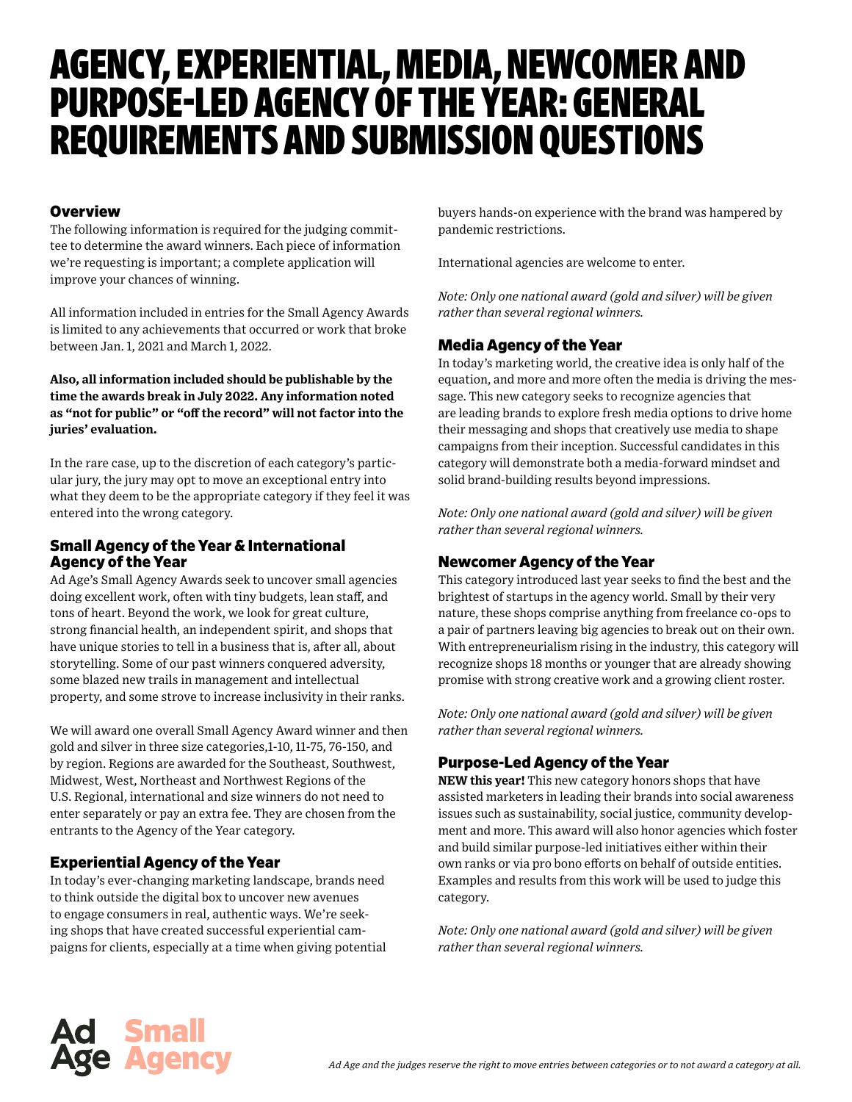# AGENCY, EXPERIENTIAL, MEDIA, NEWCOMER AND PURPOSE-LED AGENCY OF THE YEAR: GENERAL REQUIREMENTS AND SUBMISSION QUESTIONS

#### **Overview**

The following information is required for the judging committee to determine the award winners. Each piece of information we're requesting is important; a complete application will improve your chances of winning.

All information included in entries for the Small Agency Awards is limited to any achievements that occurred or work that broke between Jan. 1, 2021 and March 1, 2022.

**Also, all information included should be publishable by the time the awards break in July 2022. Any information noted as "not for public" or "off the record" will not factor into the juries' evaluation.**

In the rare case, up to the discretion of each category's particular jury, the jury may opt to move an exceptional entry into what they deem to be the appropriate category if they feel it was entered into the wrong category.

## Small Agency of the Year & International Agency of the Year

Ad Age's Small Agency Awards seek to uncover small agencies doing excellent work, often with tiny budgets, lean staff, and tons of heart. Beyond the work, we look for great culture, strong financial health, an independent spirit, and shops that have unique stories to tell in a business that is, after all, about storytelling. Some of our past winners conquered adversity, some blazed new trails in management and intellectual property, and some strove to increase inclusivity in their ranks.

We will award one overall Small Agency Award winner and then gold and silver in three size categories,1-10, 11-75, 76-150, and by region. Regions are awarded for the Southeast, Southwest, Midwest, West, Northeast and Northwest Regions of the U.S. Regional, international and size winners do not need to enter separately or pay an extra fee. They are chosen from the entrants to the Agency of the Year category.

## Experiential Agency of the Year

In today's ever-changing marketing landscape, brands need to think outside the digital box to uncover new avenues to engage consumers in real, authentic ways. We're seeking shops that have created successful experiential campaigns for clients, especially at a time when giving potential buyers hands-on experience with the brand was hampered by pandemic restrictions.

International agencies are welcome to enter.

*Note: Only one national award (gold and silver) will be given rather than several regional winners.*

## Media Agency of the Year

In today's marketing world, the creative idea is only half of the equation, and more and more often the media is driving the message. This new category seeks to recognize agencies that are leading brands to explore fresh media options to drive home their messaging and shops that creatively use media to shape campaigns from their inception. Successful candidates in this category will demonstrate both a media-forward mindset and solid brand-building results beyond impressions.

*Note: Only one national award (gold and silver) will be given rather than several regional winners.*

# Newcomer Agency of the Year

This category introduced last year seeks to find the best and the brightest of startups in the agency world. Small by their very nature, these shops comprise anything from freelance co-ops to a pair of partners leaving big agencies to break out on their own. With entrepreneurialism rising in the industry, this category will recognize shops 18 months or younger that are already showing promise with strong creative work and a growing client roster.

*Note: Only one national award (gold and silver) will be given rather than several regional winners.*

## Purpose-Led Agency of the Year

**NEW this year!** This new category honors shops that have assisted marketers in leading their brands into social awareness issues such as sustainability, social justice, community development and more. This award will also honor agencies which foster and build similar purpose-led initiatives either within their own ranks or via pro bono efforts on behalf of outside entities. Examples and results from this work will be used to judge this category.

*Note: Only one national award (gold and silver) will be given rather than several regional winners.*